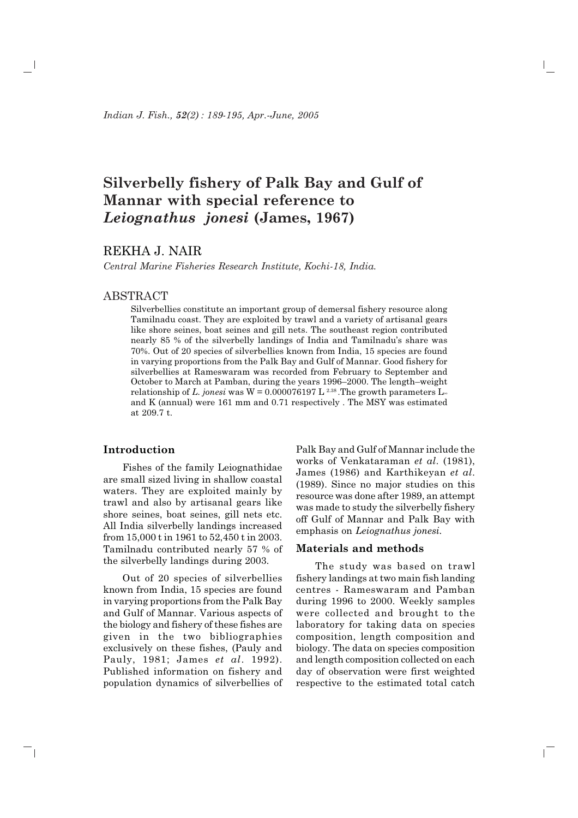# Silverbelly fishery of Palk Bay and Gulf of Mannar with special reference to Leiognathus jonesi (James, 1967)

# REKHA J. NAIR

Central Marine Fisheries Research Institute, Kochi-18, India.

# **ABSTRACT**

Silverbellies constitute an important group of demersal fishery resource along Tamilnadu coast. They are exploited by trawl and a variety of artisanal gears like shore seines, boat seines and gill nets. The southeast region contributed nearly 85 % of the silverbelly landings of India and Tamilnadu's share was 70%. Out of 20 species of silverbellies known from India, 15 species are found in varying proportions from the Palk Bay and Gulf of Mannar. Good fishery for silverbellies at Rameswaram was recorded from February to September and October to March at Pamban, during the years 1996–2000. The length-weight relationship of L, jonesi was  $W = 0.000076197$  L<sup>2.38</sup>. The growth parameters  $L_{\infty}$ and K (annual) were 161 mm and 0.71 respectively. The MSY was estimated at 209.7 t.

### Introduction

 $\overline{\phantom{0}}$ 

Fishes of the family Leiognathidae are small sized living in shallow coastal waters. They are exploited mainly by trawl and also by artisanal gears like shore seines, boat seines, gill nets etc. All India silverbelly landings increased from 15,000 t in 1961 to 52,450 t in 2003. Tamilnadu contributed nearly 57 % of the silverbelly landings during 2003.

Out of 20 species of silverbellies known from India, 15 species are found in varying proportions from the Palk Bay and Gulf of Mannar. Various aspects of the biology and fishery of these fishes are given in the two bibliographies exclusively on these fishes, (Pauly and Pauly, 1981; James et al. 1992). Published information on fishery and population dynamics of silverbellies of Palk Bay and Gulf of Mannar include the works of Venkataraman et al. (1981). James (1986) and Karthikeyan et al. (1989). Since no major studies on this resource was done after 1989, an attempt was made to study the silverbelly fishery off Gulf of Mannar and Palk Bay with emphasis on Leiognathus jonesi.

## Materials and methods

The study was based on trawl fishery landings at two main fish landing centres - Rameswaram and Pamban during 1996 to 2000. Weekly samples were collected and brought to the laboratory for taking data on species composition, length composition and biology. The data on species composition and length composition collected on each day of observation were first weighted respective to the estimated total catch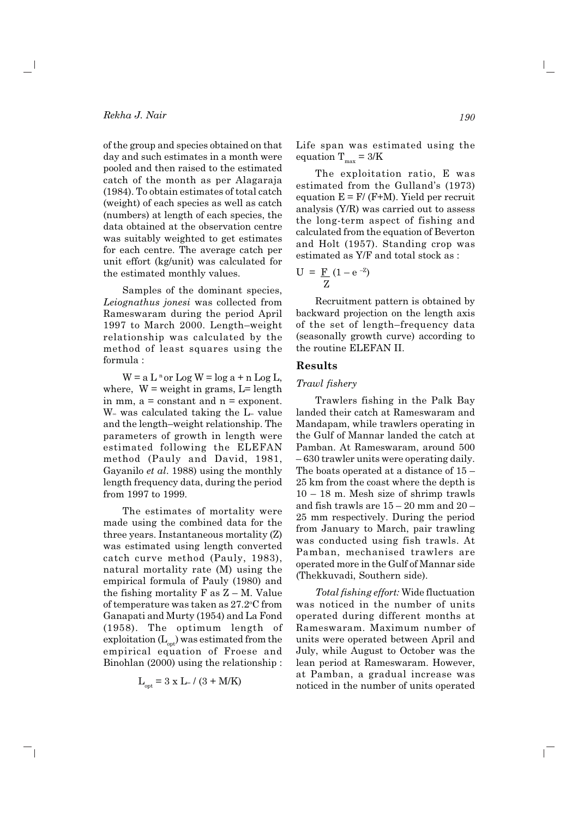## Rekha J. Nair

of the group and species obtained on that day and such estimates in a month were pooled and then raised to the estimated catch of the month as per Alagaraja (1984). To obtain estimates of total catch (weight) of each species as well as catch (numbers) at length of each species, the data obtained at the observation centre was suitably weighted to get estimates for each centre. The average catch per unit effort (kg/unit) was calculated for the estimated monthly values.

Samples of the dominant species, Leiognathus jonesi was collected from Rameswaram during the period April 1997 to March 2000. Length-weight relationship was calculated by the method of least squares using the formula:

 $W = a L^n$  or  $Log W = log a + n Log L$ , where,  $W = weight$  in grams,  $L = length$ in mm,  $a = constant$  and  $n = exponent$ .  $W_{\infty}$  was calculated taking the  $L_{\infty}$  value and the length-weight relationship. The parameters of growth in length were estimated following the ELEFAN method (Pauly and David, 1981, Gayanilo et al. 1988) using the monthly length frequency data, during the period from 1997 to 1999.

The estimates of mortality were made using the combined data for the three years. Instantaneous mortality (Z) was estimated using length converted catch curve method (Pauly, 1983), natural mortality rate (M) using the empirical formula of Pauly (1980) and the fishing mortality  $F$  as  $Z - M$ . Value of temperature was taken as 27.2 °C from Ganapati and Murty (1954) and La Fond (1958). The optimum length of exploitation  $(L_{\text{out}})$  was estimated from the empirical equation of Froese and Binohlan (2000) using the relationship:

$$
L_{\text{opt}} = 3 \times L_{\text{\tiny{W}}}/\left(3 + M/K\right)
$$

- 1

Life span was estimated using the equation  $T_{\text{max}} = 3/K$ 

The exploitation ratio, E was estimated from the Gulland's (1973) equation  $E = F/(F+M)$ . Yield per recruit analysis (Y/R) was carried out to assess the long-term aspect of fishing and calculated from the equation of Beverton and Holt (1957). Standing crop was estimated as Y/F and total stock as :

$$
U = \frac{F}{Z} (1 - e^{-Z})
$$

Recruitment pattern is obtained by backward projection on the length axis of the set of length-frequency data (seasonally growth curve) according to the routine ELEFAN II.

## **Results**

#### Trawl fishery

Trawlers fishing in the Palk Bay landed their catch at Rameswaram and Mandapam, while trawlers operating in the Gulf of Mannar landed the catch at Pamban. At Rameswaram, around 500  $-630$  trawler units were operating daily. The boats operated at a distance of  $15$  – 25 km from the coast where the depth is  $10 - 18$  m. Mesh size of shrimp trawls and fish trawls are  $15 - 20$  mm and  $20 -$ 25 mm respectively. During the period from January to March, pair trawling was conducted using fish trawls. At Pamban, mechanised trawlers are operated more in the Gulf of Mannar side (Thekkuvadi, Southern side).

Total fishing effort: Wide fluctuation was noticed in the number of units operated during different months at Rameswaram. Maximum number of units were operated between April and July, while August to October was the lean period at Rameswaram. However, at Pamban, a gradual increase was noticed in the number of units operated

 $\mathbb{L}$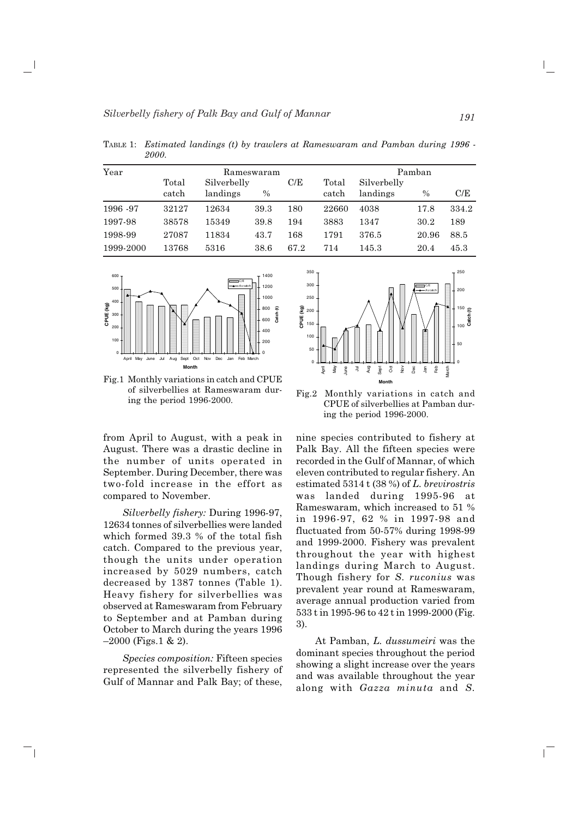| Year      | Rameswaram |             |      |      | Pamban |             |               |       |
|-----------|------------|-------------|------|------|--------|-------------|---------------|-------|
|           | Total      | Silverbelly |      | C/E  | Total  | Silverbelly |               |       |
|           | catch      | landings    | $\%$ |      | catch  | landings    | $\frac{0}{0}$ | C/E   |
| 1996 - 97 | 32127      | 12634       | 39.3 | 180  | 22660  | 4038        | 17.8          | 334.2 |
| 1997-98   | 38578      | 15349       | 39.8 | 194  | 3883   | 1347        | 30.2          | 189   |
| 1998-99   | 27087      | 11834       | 43.7 | 168  | 1791   | 376.5       | 20.96         | 88.5  |
| 1999-2000 | 13768      | 5316        | 38.6 | 67.2 | 714    | 145.3       | 20.4          | 45.3  |

TABLE 1: Estimated landings (t) by trawlers at Rameswaram and Pamban during 1996 -*F111* 



Fig.1 Monthly variations in catch and CPUE of silverbellies at Rameswaram during the period 1996-2000.

from April to August, with a peak in August. There was a drastic decline in the number of units operated in September. During December, there was two-fold increase in the effort as compared to November.

*Silverbelly fishery: During 1996-97,* 12634 tonnes of silverbellies were landed which formed  $39.3\,$  % of the total fish catch. Compared to the previous year, though the units under operation increased by 5029 numbers, catch decreased by  $1387$  tonnes (Table 1). Heavy fishery for silverbellies was observed at Rameswaram from February to September and at Pamban during October to March during the years 1996  $-2000$  (Figs.1 & 2).

 $Species\ composition: \textit{Fifteen species}$ represented the silverbelly fishery of Gulf of Mannar and Palk Bay; of these,

 $\overline{\phantom{0}}$ 



Fig.2 Monthly variations in catch and CPUE of silverbellies at Pamban during the period 1996-2000.

nine species contributed to fishery at Palk Bay. All the fifteen species were recorded in the Gulf of Mannar, of which eleven contributed to regular fishery. An  $\bm{\mathrm{estimated}}$  5314 t (38 %) of *L*. *brevirostris* was landed during 1995-96 at Rameswaram, which increased to  $51\ \%$ in 1996-97, 62 % in 1997-98 and fluctuated from  $50-57\%$  during  $1998-99$ and 1999-2000. Fishery was prevalent throughout the year with highest landings during March to August. Though fishery for *S. ruconius* was prevalent year round at Kameswaram, average annual production varied from  $533 \text{ t}$  in 1995-96 to  $42 \text{ t}$  in 1999-2000 (Fig. 3).

At Pamban, *L. dussumeiri* was the dominant species throughout the period showing a slight increase over the years and was available throughout the year along with *Gazza minuta* and *S*.

 $\mathbb{L}$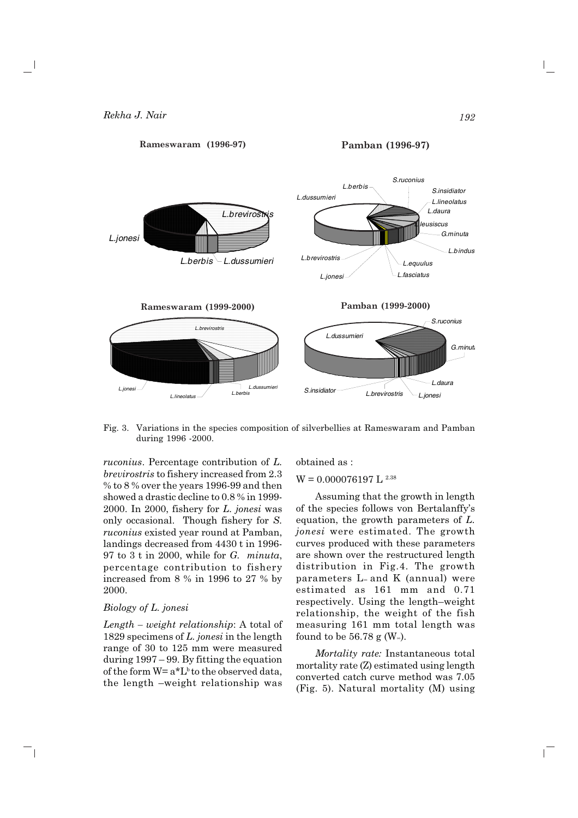

Fig. 3. Variations in the species composition of silverbellies at Rameswaram and Pamban during 1996 -2000.

*ruconius.* Percentage contribution of L. *brevirostris* to fishery increased from 2.3 % to 8% over the years 1996-99 and then showed a drastic decline to 0.8 % in 1999-2000. In 2000, fishery for L. jonesi was only occasional. Though fishery for S. *ruconius* existed year round at Pamban, landings decreased from 4430 t in 1996-97 to 3 t in 2000, while for  $G$ . minuta, percentage contribution to fishery increased from 8 % in 1996 to 27 % by 2000.

#### Biology of L. jonesi

 $\Box$ 

 $Length - weight$  relationship: A total of 1829 specimens of  $L$ , jonesi in the length range of 30 to 125 mm were measured during  $1997 - 99$ . By fitting the equation of the form  $W = a^*L^b$  to the observed data, the length -weight relationship was obtained as:

# $W = 0.000076197 L^{2.38}$

Assuming that the growth in length of the species follows von Bertalanffy's equation, the growth parameters of  $L$ . *ionesi* were estimated. The growth curves produced with these parameters are shown over the restructured length distribution in Fig.4. The growth parameters  $L_{\infty}$  and K (annual) were estimated as 161 mm and 0.71 respectively. Using the length-weight relationship, the weight of the fish measuring 161 mm total length was found to be 56.78 g ( $W$ .).

Mortality rate: Instantaneous total mortality rate (Z) estimated using length converted catch curve method was 7.05 (Fig. 5). Natural mortality (M) using

 $\mathbb{L}$ 

192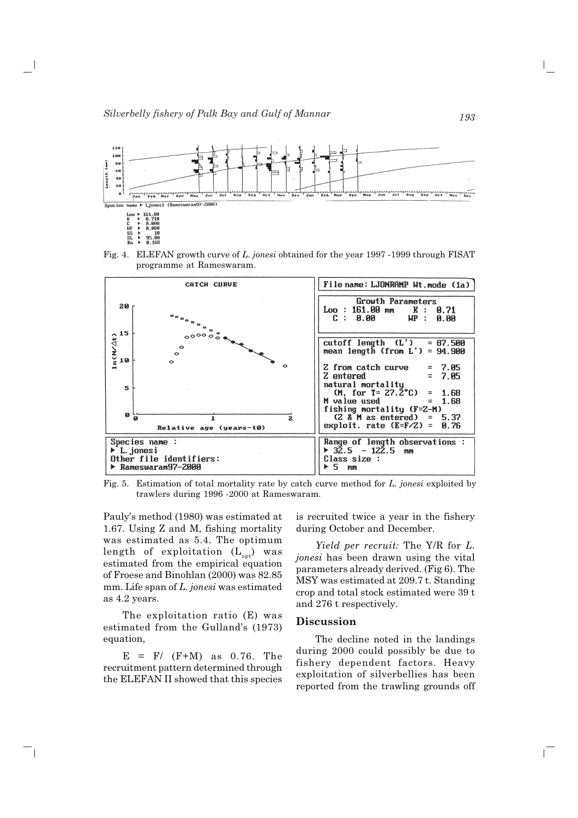

Fig. 4. ELEFAN growth curve of L. jonesi obtained for the year 1997 -1999 through FISAT programme at Rameswaram.



Fig. 5. Estimation of total mortality rate by catch curve method for L. jonesi exploited by trawlers during 1996 -2000 at Rameswaram.

Pauly's method (1980) was estimated at 1.67. Using Z and M, fishing mortality was estimated as 5.4. The optimum length of exploitation  $(L_{opt})$  was estimated from the empirical equation of Froese and Binohlan (2000) was 82.85 mm. Life span of L. jonesi was estimated as 4.2 years.

The exploitation ratio (E) was estimated from the Gulland's (1973) equation,

 $E = F/(F+M)$  as 0.76. The recruitment pattern determined through the ELEFAN II showed that this species

 $\overline{\phantom{0}}$ 

is recruited twice a year in the fishery during October and December.

Yield per recruit: The Y/R for L. *jonesi* has been drawn using the vital parameters already derived. (Fig 6). The MSY was estimated at 209.7 t. Standing crop and total stock estimated were 39 t and 276 t respectively.

#### **Discussion**

The decline noted in the landings during 2000 could possibly be due to fishery dependent factors. Heavy exploitation of silverbellies has been reported from the trawling grounds off

 $\mathbf{L}$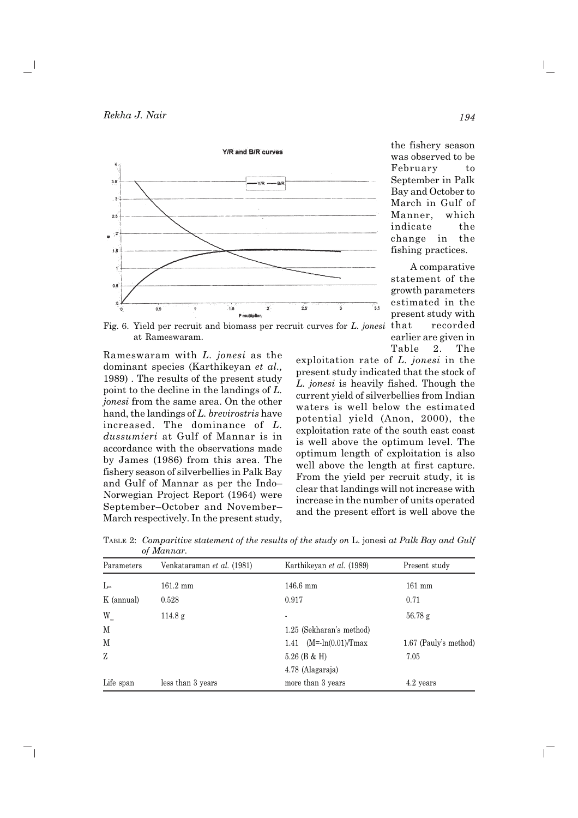

the fishery season was observed to be February to September in Palk Bay and October to March in Gulf of Manner, which indicate the change in the fishing practices.

A comparative statement of the growth parameters estimated in the present study with that recorded earlier are given in Table 2. The

 $\mathbf{L}$ 

Fig. 6. Yield per recruit and biomass per recruit curves for L. jonesi at Rameswaram.

Rameswaram with L. jonesi as the dominant species (Karthikeyan et al., 1989). The results of the present study point to the decline in the landings of  $L$ . jonesi from the same area. On the other hand, the landings of L. brevirostris have increased. The dominance of L. *dussumieri* at Gulf of Mannar is in accordance with the observations made by James (1986) from this area. The fishery season of silverbellies in Palk Bay and Gulf of Mannar as per the Indo-Norwegian Project Report (1964) were September-October and November-March respectively. In the present study,

 $\overline{\phantom{0}}$ 

exploitation rate of  $L$ , jonesi in the present study indicated that the stock of L. jonesi is heavily fished. Though the current yield of silverbellies from Indian waters is well below the estimated potential yield (Anon, 2000), the exploitation rate of the south east coast is well above the optimum level. The optimum length of exploitation is also well above the length at first capture. From the vield per recruit study, it is clear that landings will not increase with increase in the number of units operated and the present effort is well above the

TABLE 2: Comparitive statement of the results of the study on L. jonesi at Palk Bay and Gulf of Mannar.

| Parameters   | Venkataraman <i>et al.</i> (1981) | Karthikeyan et al. (1989)                 | Present study         |
|--------------|-----------------------------------|-------------------------------------------|-----------------------|
| $L_{\infty}$ | $161.2 \text{ mm}$                | $146.6$ mm                                | $161$ mm              |
| K (annual)   | 0.528                             | 0.917                                     | 0.71                  |
| W.           | 114.8 g                           |                                           | $56.78$ g             |
| M            |                                   | 1.25 (Sekharan's method)                  |                       |
| M            |                                   | $(M = -\ln(0.01)/T_{\text{max}})$<br>1.41 | 1.67 (Pauly's method) |
| Z            |                                   | $5.26$ (B & H)                            | 7.05                  |
|              |                                   | 4.78 (Alagaraja)                          |                       |
| Life span    | less than 3 years                 | more than 3 years                         | 4.2 years             |

194